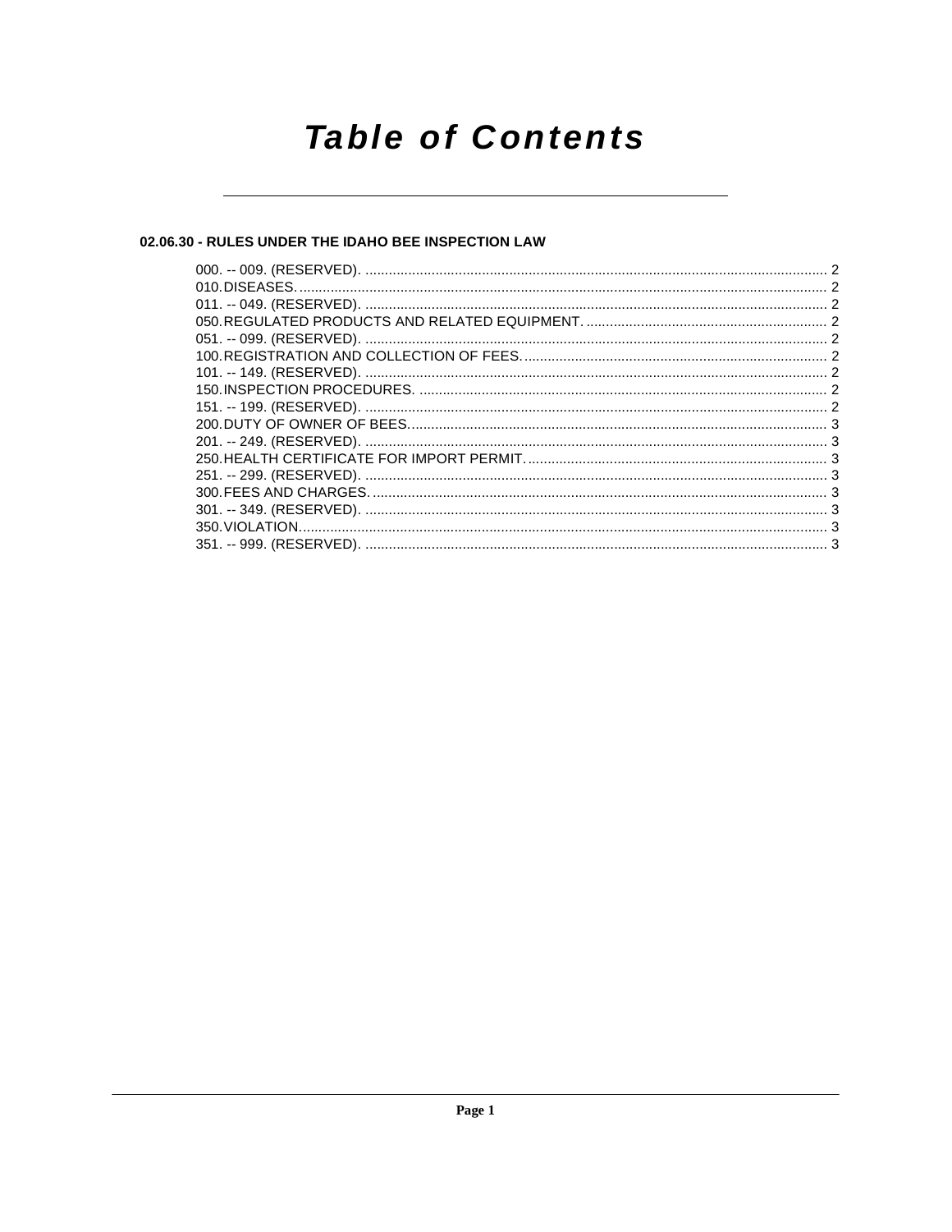## **Table of Contents**

## 02.06.30 - RULES UNDER THE IDAHO BEE INSPECTION LAW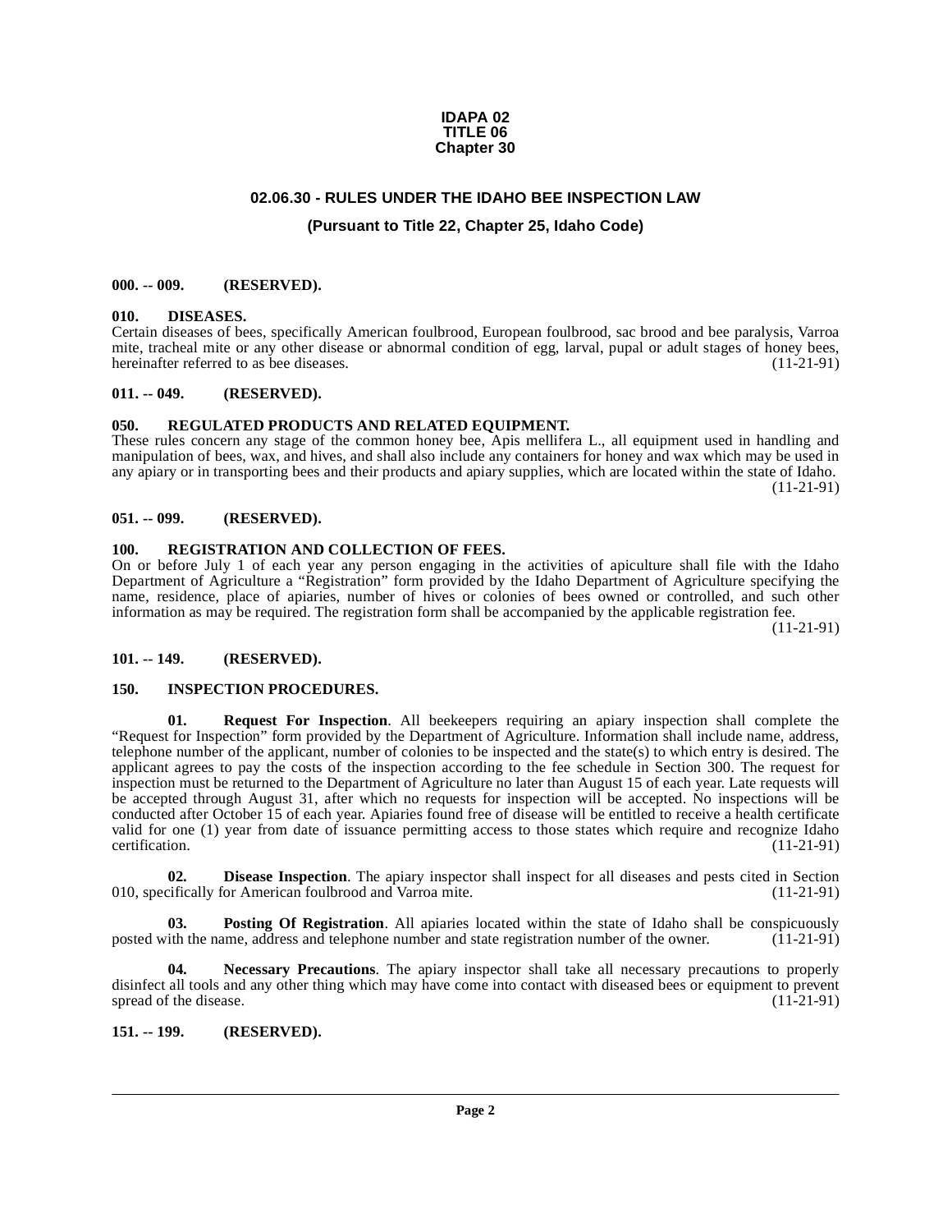#### **IDAPA 02 TITLE 06 Chapter 30**

## **02.06.30 - RULES UNDER THE IDAHO BEE INSPECTION LAW**

## **(Pursuant to Title 22, Chapter 25, Idaho Code)**

#### <span id="page-1-1"></span><span id="page-1-0"></span>**000. -- 009. (RESERVED).**

#### <span id="page-1-11"></span><span id="page-1-2"></span>**010. DISEASES.**

Certain diseases of bees, specifically American foulbrood, European foulbrood, sac brood and bee paralysis, Varroa mite, tracheal mite or any other disease or abnormal condition of egg, larval, pupal or adult stages of honey bees, hereinafter referred to as bee diseases. (11-21-91)

#### <span id="page-1-3"></span>**011. -- 049. (RESERVED).**

#### <span id="page-1-16"></span><span id="page-1-4"></span>**050. REGULATED PRODUCTS AND RELATED EQUIPMENT.**

These rules concern any stage of the common honey bee, Apis mellifera L., all equipment used in handling and manipulation of bees, wax, and hives, and shall also include any containers for honey and wax which may be used in any apiary or in transporting bees and their products and apiary supplies, which are located within the state of Idaho. (11-21-91)

#### <span id="page-1-5"></span>**051. -- 099. (RESERVED).**

#### <span id="page-1-15"></span><span id="page-1-6"></span>**100. REGISTRATION AND COLLECTION OF FEES.**

On or before July 1 of each year any person engaging in the activities of apiculture shall file with the Idaho Department of Agriculture a "Registration" form provided by the Idaho Department of Agriculture specifying the name, residence, place of apiaries, number of hives or colonies of bees owned or controlled, and such other information as may be required. The registration form shall be accompanied by the applicable registration fee.

(11-21-91)

#### <span id="page-1-7"></span>**101. -- 149. (RESERVED).**

#### <span id="page-1-12"></span><span id="page-1-8"></span>**150. INSPECTION PROCEDURES.**

<span id="page-1-17"></span>**01. Request For Inspection**. All beekeepers requiring an apiary inspection shall complete the "Request for Inspection" form provided by the Department of Agriculture. Information shall include name, address, telephone number of the applicant, number of colonies to be inspected and the state(s) to which entry is desired. The applicant agrees to pay the costs of the inspection according to the fee schedule in Section 300. The request for inspection must be returned to the Department of Agriculture no later than August 15 of each year. Late requests will be accepted through August 31, after which no requests for inspection will be accepted. No inspections will be conducted after October 15 of each year. Apiaries found free of disease will be entitled to receive a health certificate valid for one (1) year from date of issuance permitting access to those states which require and recognize Idaho certification. (11-21-91) certification. (11-21-91)

<span id="page-1-10"></span>**02. Disease Inspection**. The apiary inspector shall inspect for all diseases and pests cited in Section cifically for American foulbrood and Varroa mite. (11-21-91) 010, specifically for American foulbrood and Varroa mite.

<span id="page-1-14"></span>**03. Posting Of Registration**. All apiaries located within the state of Idaho shall be conspicuously ith the name, address and telephone number and state registration number of the owner. (11-21-91) posted with the name, address and telephone number and state registration number of the owner.

<span id="page-1-13"></span>**04. Necessary Precautions**. The apiary inspector shall take all necessary precautions to properly disinfect all tools and any other thing which may have come into contact with diseased bees or equipment to prevent spread of the disease. (11-21-91)

#### <span id="page-1-9"></span>**151. -- 199. (RESERVED).**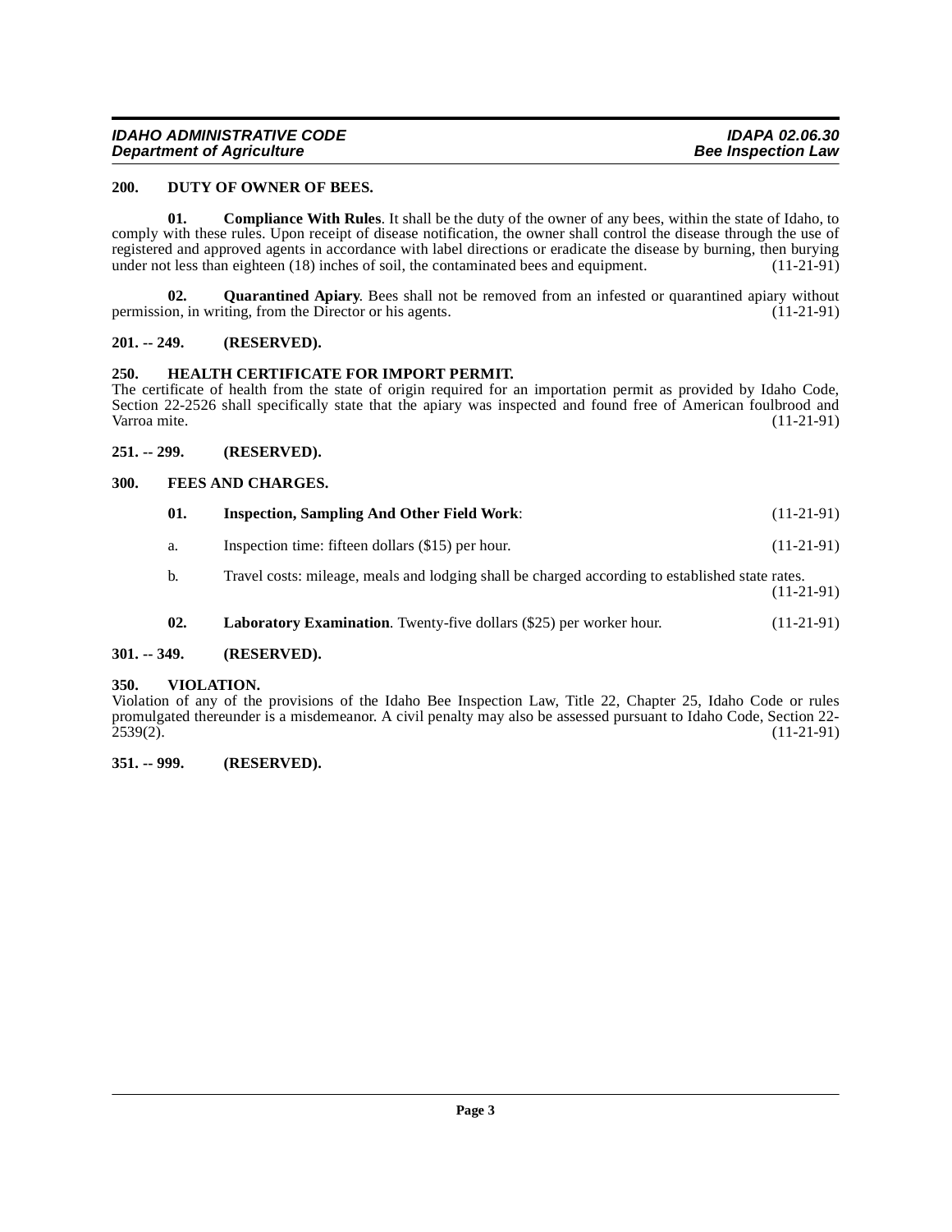#### <span id="page-2-9"></span><span id="page-2-0"></span>**200. DUTY OF OWNER OF BEES.**

<span id="page-2-8"></span>**01. Compliance With Rules**. It shall be the duty of the owner of any bees, within the state of Idaho, to comply with these rules. Upon receipt of disease notification, the owner shall control the disease through the use of registered and approved agents in accordance with label directions or eradicate the disease by burning, then burying under not less than eighteen (18) inches of soil, the contaminated bees and equipment. (11-21-91) under not less than eighteen (18) inches of soil, the contaminated bees and equipment.

<span id="page-2-14"></span>**02. Quarantined Apiary**. Bees shall not be removed from an infested or quarantined apiary without on, in writing, from the Director or his agents. (11-21-91) permission, in writing, from the Director or his agents.

#### <span id="page-2-1"></span>**201. -- 249. (RESERVED).**

#### <span id="page-2-11"></span><span id="page-2-2"></span>**250. HEALTH CERTIFICATE FOR IMPORT PERMIT.**

The certificate of health from the state of origin required for an importation permit as provided by Idaho Code, Section 22-2526 shall specifically state that the apiary was inspected and found free of American foulbrood and Varroa mite. (11-21-91) Varroa mite. (11-21-91) (11-21-91)

#### <span id="page-2-3"></span>**251. -- 299. (RESERVED).**

#### <span id="page-2-4"></span>**300. FEES AND CHARGES.**

<span id="page-2-12"></span><span id="page-2-10"></span>

| 01. | <b>Inspection, Sampling And Other Field Work:</b>                                               | $(11-21-91)$ |
|-----|-------------------------------------------------------------------------------------------------|--------------|
| a.  | Inspection time: fifteen dollars (\$15) per hour.                                               | $(11-21-91)$ |
| b.  | Travel costs: mileage, meals and lodging shall be charged according to established state rates. | $(11-21-91)$ |

<span id="page-2-15"></span><span id="page-2-13"></span>**02.** Laboratory Examination. Twenty-five dollars (\$25) per worker hour. (11-21-91)

### <span id="page-2-5"></span>**301. -- 349. (RESERVED).**

#### <span id="page-2-6"></span>**350. VIOLATION.**

Violation of any of the provisions of the Idaho Bee Inspection Law, Title 22, Chapter 25, Idaho Code or rules promulgated thereunder is a misdemeanor. A civil penalty may also be assessed pursuant to Idaho Code, Section 22- 2539(2). (11-21-91)

#### <span id="page-2-7"></span>**351. -- 999. (RESERVED).**